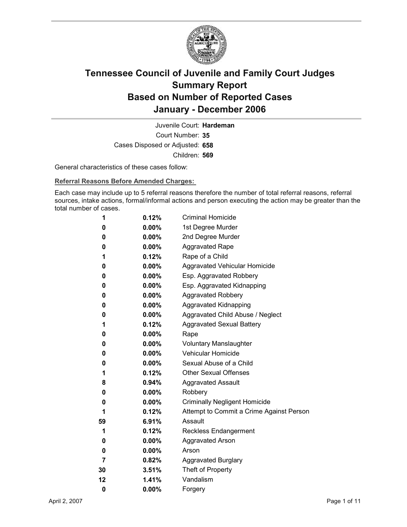

Court Number: **35** Juvenile Court: **Hardeman** Cases Disposed or Adjusted: **658** Children: **569**

General characteristics of these cases follow:

**Referral Reasons Before Amended Charges:** 

Each case may include up to 5 referral reasons therefore the number of total referral reasons, referral sources, intake actions, formal/informal actions and person executing the action may be greater than the total number of cases.

| 1  | 0.12%    | <b>Criminal Homicide</b>                 |
|----|----------|------------------------------------------|
| 0  | $0.00\%$ | 1st Degree Murder                        |
| 0  | $0.00\%$ | 2nd Degree Murder                        |
| 0  | $0.00\%$ | <b>Aggravated Rape</b>                   |
| 1  | 0.12%    | Rape of a Child                          |
| 0  | $0.00\%$ | Aggravated Vehicular Homicide            |
| 0  | $0.00\%$ | Esp. Aggravated Robbery                  |
| 0  | $0.00\%$ | Esp. Aggravated Kidnapping               |
| 0  | $0.00\%$ | <b>Aggravated Robbery</b>                |
| 0  | $0.00\%$ | <b>Aggravated Kidnapping</b>             |
| 0  | $0.00\%$ | Aggravated Child Abuse / Neglect         |
| 1  | 0.12%    | <b>Aggravated Sexual Battery</b>         |
| 0  | $0.00\%$ | Rape                                     |
| 0  | $0.00\%$ | <b>Voluntary Manslaughter</b>            |
| 0  | $0.00\%$ | <b>Vehicular Homicide</b>                |
| 0  | $0.00\%$ | Sexual Abuse of a Child                  |
| 1  | $0.12\%$ | <b>Other Sexual Offenses</b>             |
| 8  | $0.94\%$ | <b>Aggravated Assault</b>                |
| 0  | $0.00\%$ | Robbery                                  |
| 0  | $0.00\%$ | <b>Criminally Negligent Homicide</b>     |
| 1  | $0.12\%$ | Attempt to Commit a Crime Against Person |
| 59 | $6.91\%$ | Assault                                  |
| 1  | 0.12%    | <b>Reckless Endangerment</b>             |
| 0  | $0.00\%$ | <b>Aggravated Arson</b>                  |
| 0  | $0.00\%$ | Arson                                    |
| 7  | 0.82%    | <b>Aggravated Burglary</b>               |
| 30 | 3.51%    | Theft of Property                        |
| 12 | 1.41%    | Vandalism                                |
| 0  | 0.00%    | Forgery                                  |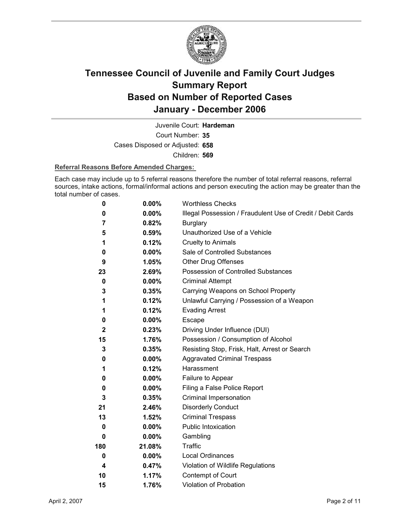

Court Number: **35** Juvenile Court: **Hardeman** Cases Disposed or Adjusted: **658** Children: **569**

#### **Referral Reasons Before Amended Charges:**

Each case may include up to 5 referral reasons therefore the number of total referral reasons, referral sources, intake actions, formal/informal actions and person executing the action may be greater than the total number of cases.

| 0            | 0.00%    | <b>Worthless Checks</b>                                     |
|--------------|----------|-------------------------------------------------------------|
| 0            | 0.00%    | Illegal Possession / Fraudulent Use of Credit / Debit Cards |
| 7            | 0.82%    | <b>Burglary</b>                                             |
| 5            | 0.59%    | Unauthorized Use of a Vehicle                               |
| 1            | 0.12%    | <b>Cruelty to Animals</b>                                   |
| 0            | $0.00\%$ | Sale of Controlled Substances                               |
| 9            | 1.05%    | <b>Other Drug Offenses</b>                                  |
| 23           | 2.69%    | Possession of Controlled Substances                         |
| 0            | $0.00\%$ | <b>Criminal Attempt</b>                                     |
| 3            | 0.35%    | Carrying Weapons on School Property                         |
| 1            | 0.12%    | Unlawful Carrying / Possession of a Weapon                  |
| 1            | 0.12%    | <b>Evading Arrest</b>                                       |
| 0            | $0.00\%$ | Escape                                                      |
| $\mathbf{2}$ | 0.23%    | Driving Under Influence (DUI)                               |
| 15           | 1.76%    | Possession / Consumption of Alcohol                         |
| 3            | 0.35%    | Resisting Stop, Frisk, Halt, Arrest or Search               |
| 0            | 0.00%    | <b>Aggravated Criminal Trespass</b>                         |
| 1            | 0.12%    | Harassment                                                  |
| 0            | $0.00\%$ | Failure to Appear                                           |
| 0            | 0.00%    | Filing a False Police Report                                |
| 3            | 0.35%    | Criminal Impersonation                                      |
| 21           | 2.46%    | <b>Disorderly Conduct</b>                                   |
| 13           | 1.52%    | <b>Criminal Trespass</b>                                    |
| 0            | $0.00\%$ | Public Intoxication                                         |
| 0            | $0.00\%$ | Gambling                                                    |
| 180          | 21.08%   | <b>Traffic</b>                                              |
| $\bf{0}$     | $0.00\%$ | <b>Local Ordinances</b>                                     |
| 4            | 0.47%    | Violation of Wildlife Regulations                           |
| 10           | 1.17%    | Contempt of Court                                           |
| 15           | 1.76%    | <b>Violation of Probation</b>                               |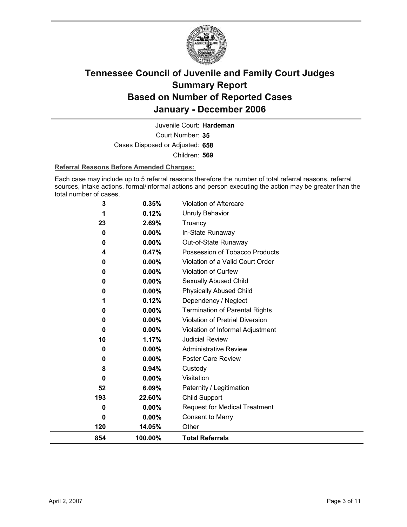

Court Number: **35** Juvenile Court: **Hardeman** Cases Disposed or Adjusted: **658** Children: **569**

#### **Referral Reasons Before Amended Charges:**

Each case may include up to 5 referral reasons therefore the number of total referral reasons, referral sources, intake actions, formal/informal actions and person executing the action may be greater than the total number of cases.

| 854      | 100.00%           | <b>Total Referrals</b>                                 |
|----------|-------------------|--------------------------------------------------------|
| 120      | 14.05%            | Other                                                  |
| 0        | $0.00\%$          | <b>Consent to Marry</b>                                |
| 0        | $0.00\%$          | <b>Request for Medical Treatment</b>                   |
| 193      | 22.60%            | <b>Child Support</b>                                   |
| 52       | 6.09%             | Paternity / Legitimation                               |
| 0        | $0.00\%$          | Visitation                                             |
| 8        | 0.94%             | Custody                                                |
| 0        | $0.00\%$          | <b>Foster Care Review</b>                              |
| 0        | 0.00%             | <b>Administrative Review</b>                           |
| 10       | 1.17%             | <b>Judicial Review</b>                                 |
| $\bf{0}$ | 0.00%             | Violation of Informal Adjustment                       |
| 0        | 0.00%             | Violation of Pretrial Diversion                        |
| 0        | 0.00%             | <b>Termination of Parental Rights</b>                  |
| 1        | 0.12%             | Dependency / Neglect                                   |
| 0        | $0.00\%$          | <b>Physically Abused Child</b>                         |
| 0        | 0.00%             | Sexually Abused Child                                  |
| 0        | 0.00%             | Violation of Curfew                                    |
| 0        | 0.00%             | Violation of a Valid Court Order                       |
| 0<br>4   | $0.00\%$<br>0.47% | Out-of-State Runaway<br>Possession of Tobacco Products |
| 0        | 0.00%             | In-State Runaway                                       |
| 23       | 2.69%             | Truancy                                                |
| 1        | 0.12%             | <b>Unruly Behavior</b>                                 |
| 3        | 0.35%             | Violation of Aftercare                                 |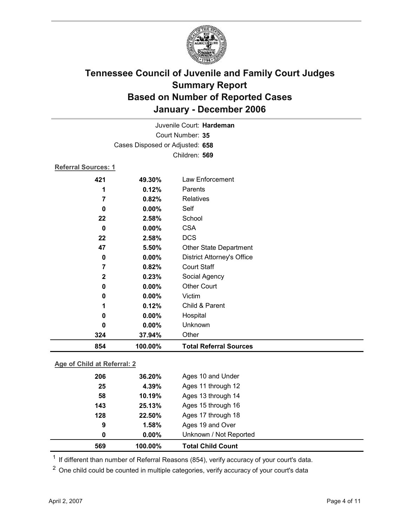

| Juvenile Court: Hardeman   |                                 |                                   |  |  |  |
|----------------------------|---------------------------------|-----------------------------------|--|--|--|
| Court Number: 35           |                                 |                                   |  |  |  |
|                            | Cases Disposed or Adjusted: 658 |                                   |  |  |  |
|                            | Children: 569                   |                                   |  |  |  |
| <b>Referral Sources: 1</b> |                                 |                                   |  |  |  |
| 421                        | 49.30%                          | Law Enforcement                   |  |  |  |
| 1                          | 0.12%                           | Parents                           |  |  |  |
| 7                          | 0.82%                           | Relatives                         |  |  |  |
| 0                          | 0.00%                           | Self                              |  |  |  |
| 22                         | 2.58%                           | School                            |  |  |  |
| $\bf{0}$                   | 0.00%                           | <b>CSA</b>                        |  |  |  |
| 22                         | 2.58%                           | <b>DCS</b>                        |  |  |  |
| 47                         | 5.50%                           | <b>Other State Department</b>     |  |  |  |
| $\bf{0}$                   | 0.00%                           | <b>District Attorney's Office</b> |  |  |  |
| 7                          | 0.82%                           | <b>Court Staff</b>                |  |  |  |
| $\mathbf{2}$               | 0.23%                           | Social Agency                     |  |  |  |
| 0                          | 0.00%                           | <b>Other Court</b>                |  |  |  |
| 0                          | 0.00%                           | Victim                            |  |  |  |
| 1                          | 0.12%                           | Child & Parent                    |  |  |  |
| 0                          | $0.00\%$                        | Hospital                          |  |  |  |
| 0                          | 0.00%                           | Unknown                           |  |  |  |
| 324                        | 37.94%                          | Other                             |  |  |  |
| 854                        | 100.00%                         | <b>Total Referral Sources</b>     |  |  |  |

### **Age of Child at Referral: 2**

| 569 | 100.00%  | <b>Total Child Count</b> |  |
|-----|----------|--------------------------|--|
| 0   | $0.00\%$ | Unknown / Not Reported   |  |
| 9   | 1.58%    | Ages 19 and Over         |  |
| 128 | 22.50%   | Ages 17 through 18       |  |
| 143 | 25.13%   | Ages 15 through 16       |  |
| 58  | 10.19%   | Ages 13 through 14       |  |
| 25  | 4.39%    | Ages 11 through 12       |  |
| 206 | 36.20%   | Ages 10 and Under        |  |
|     |          |                          |  |

 $1$  If different than number of Referral Reasons (854), verify accuracy of your court's data.

<sup>2</sup> One child could be counted in multiple categories, verify accuracy of your court's data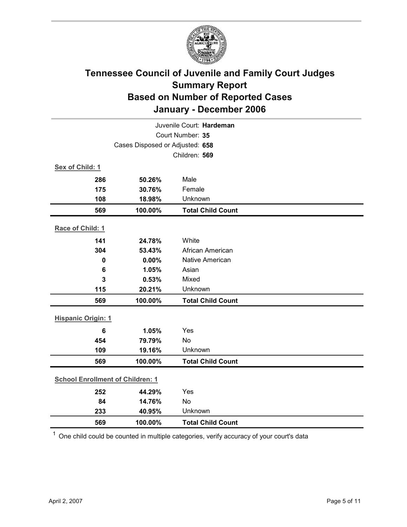

| Juvenile Court: Hardeman                |         |                          |  |  |  |
|-----------------------------------------|---------|--------------------------|--|--|--|
| Court Number: 35                        |         |                          |  |  |  |
| Cases Disposed or Adjusted: 658         |         |                          |  |  |  |
|                                         |         | Children: 569            |  |  |  |
| Sex of Child: 1                         |         |                          |  |  |  |
| 286                                     | 50.26%  | Male                     |  |  |  |
| 175                                     | 30.76%  | Female                   |  |  |  |
| 108                                     | 18.98%  | Unknown                  |  |  |  |
| 569                                     | 100.00% | <b>Total Child Count</b> |  |  |  |
| Race of Child: 1                        |         |                          |  |  |  |
| 141                                     | 24.78%  | White                    |  |  |  |
| 304                                     | 53.43%  | African American         |  |  |  |
| 0                                       | 0.00%   | <b>Native American</b>   |  |  |  |
| $6\phantom{1}6$                         | 1.05%   | Asian                    |  |  |  |
| 3                                       | 0.53%   | Mixed                    |  |  |  |
| 115                                     | 20.21%  | Unknown                  |  |  |  |
| 569                                     | 100.00% | <b>Total Child Count</b> |  |  |  |
|                                         |         |                          |  |  |  |
| <b>Hispanic Origin: 1</b>               |         |                          |  |  |  |
| $6\phantom{1}6$                         | 1.05%   | Yes                      |  |  |  |
| 454                                     | 79.79%  | <b>No</b>                |  |  |  |
| 109                                     | 19.16%  | Unknown                  |  |  |  |
| 569                                     | 100.00% | <b>Total Child Count</b> |  |  |  |
| <b>School Enrollment of Children: 1</b> |         |                          |  |  |  |
| 252                                     | 44.29%  | Yes                      |  |  |  |
| 84                                      | 14.76%  | <b>No</b>                |  |  |  |
| 233                                     | 40.95%  | Unknown                  |  |  |  |
| 569                                     | 100.00% | <b>Total Child Count</b> |  |  |  |

 $1$  One child could be counted in multiple categories, verify accuracy of your court's data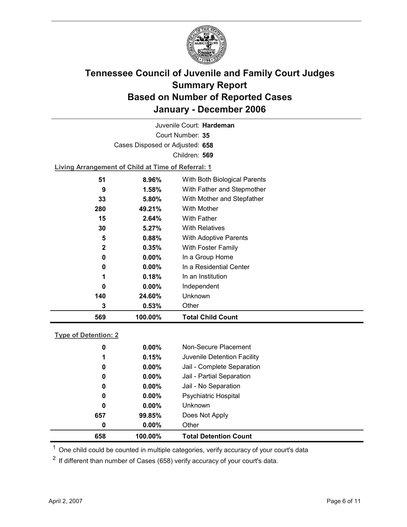

Court Number: **35** Juvenile Court: **Hardeman** Cases Disposed or Adjusted: **658** Children: **569**

**Living Arrangement of Child at Time of Referral: 1**

| 569          | 100.00%  | <b>Total Child Count</b>     |  |
|--------------|----------|------------------------------|--|
| 3            | 0.53%    | Other                        |  |
| 140          | 24.60%   | Unknown                      |  |
| 0            | $0.00\%$ | Independent                  |  |
| 1            | 0.18%    | In an Institution            |  |
| 0            | $0.00\%$ | In a Residential Center      |  |
| 0            | $0.00\%$ | In a Group Home              |  |
| $\mathbf{2}$ | 0.35%    | With Foster Family           |  |
| 5            | 0.88%    | With Adoptive Parents        |  |
| 30           | $5.27\%$ | <b>With Relatives</b>        |  |
| 15           | 2.64%    | <b>With Father</b>           |  |
| 280          | 49.21%   | With Mother                  |  |
| 33           | $5.80\%$ | With Mother and Stepfather   |  |
| 9            | $1.58\%$ | With Father and Stepmother   |  |
| 51           | 8.96%    | With Both Biological Parents |  |
|              |          |                              |  |

#### **Type of Detention: 2**

| 658 | 100.00%  | <b>Total Detention Count</b> |
|-----|----------|------------------------------|
| 0   | $0.00\%$ | Other                        |
| 657 | 99.85%   | Does Not Apply               |
| 0   | $0.00\%$ | <b>Unknown</b>               |
| 0   | $0.00\%$ | <b>Psychiatric Hospital</b>  |
| 0   | $0.00\%$ | Jail - No Separation         |
| 0   | $0.00\%$ | Jail - Partial Separation    |
| 0   | $0.00\%$ | Jail - Complete Separation   |
| 1   | 0.15%    | Juvenile Detention Facility  |
| 0   | $0.00\%$ | Non-Secure Placement         |
|     |          |                              |

 $<sup>1</sup>$  One child could be counted in multiple categories, verify accuracy of your court's data</sup>

 $2$  If different than number of Cases (658) verify accuracy of your court's data.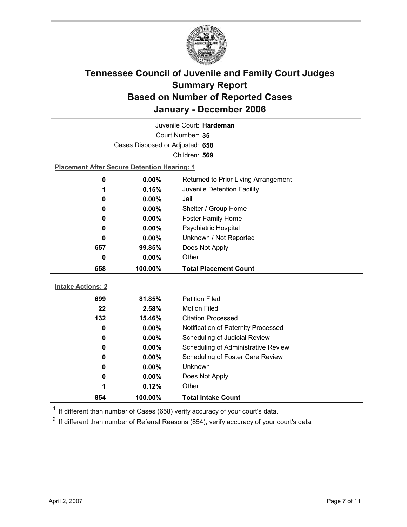

| Juvenile Court: Hardeman        |                                                    |                                      |  |  |
|---------------------------------|----------------------------------------------------|--------------------------------------|--|--|
| Court Number: 35                |                                                    |                                      |  |  |
| Cases Disposed or Adjusted: 658 |                                                    |                                      |  |  |
|                                 |                                                    | Children: 569                        |  |  |
|                                 | <b>Placement After Secure Detention Hearing: 1</b> |                                      |  |  |
| 0                               | 0.00%                                              | Returned to Prior Living Arrangement |  |  |
| 1                               | 0.15%                                              | Juvenile Detention Facility          |  |  |
| 0                               | $0.00\%$                                           | Jail                                 |  |  |
| 0                               | $0.00\%$                                           | Shelter / Group Home                 |  |  |
| 0                               | 0.00%                                              | <b>Foster Family Home</b>            |  |  |
| 0                               | $0.00\%$                                           | Psychiatric Hospital                 |  |  |
| 0                               | $0.00\%$                                           | Unknown / Not Reported               |  |  |
| 657                             | 99.85%                                             | Does Not Apply                       |  |  |
| 0                               | 0.00%                                              | Other                                |  |  |
|                                 |                                                    |                                      |  |  |
| 658                             | 100.00%                                            | <b>Total Placement Count</b>         |  |  |
|                                 |                                                    |                                      |  |  |
| <b>Intake Actions: 2</b>        |                                                    |                                      |  |  |
| 699                             | 81.85%                                             | <b>Petition Filed</b>                |  |  |
| 22                              | 2.58%                                              | <b>Motion Filed</b>                  |  |  |
| 132                             | 15.46%                                             | <b>Citation Processed</b>            |  |  |
| 0                               | $0.00\%$                                           | Notification of Paternity Processed  |  |  |
| 0                               | 0.00%                                              | Scheduling of Judicial Review        |  |  |
| 0                               | 0.00%                                              | Scheduling of Administrative Review  |  |  |
| 0                               | $0.00\%$                                           | Scheduling of Foster Care Review     |  |  |
| 0                               | $0.00\%$                                           | Unknown                              |  |  |
| 0                               | $0.00\%$                                           | Does Not Apply                       |  |  |
| 1                               | 0.12%                                              | Other                                |  |  |

 $1$  If different than number of Cases (658) verify accuracy of your court's data.

 $2$  If different than number of Referral Reasons (854), verify accuracy of your court's data.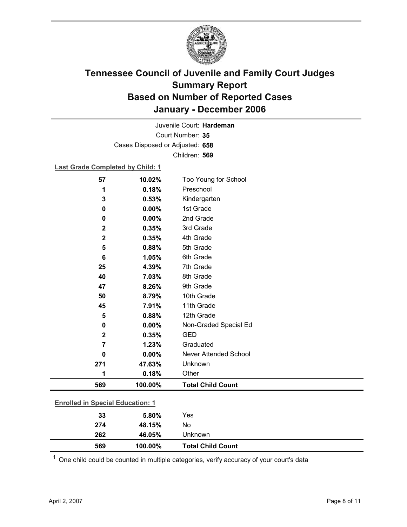

Court Number: **35** Juvenile Court: **Hardeman** Cases Disposed or Adjusted: **658** Children: **569**

### **Last Grade Completed by Child: 1**

| 57             | 10.02%                                  | Too Young for School     |  |  |  |
|----------------|-----------------------------------------|--------------------------|--|--|--|
| 1              | 0.18%                                   | Preschool                |  |  |  |
| 3              | 0.53%                                   | Kindergarten             |  |  |  |
| 0              | 0.00%                                   | 1st Grade                |  |  |  |
| 0              | 0.00%                                   | 2nd Grade                |  |  |  |
| $\mathbf 2$    | 0.35%                                   | 3rd Grade                |  |  |  |
| $\mathbf 2$    | 0.35%                                   | 4th Grade                |  |  |  |
| 5              | 0.88%                                   | 5th Grade                |  |  |  |
| 6              | 1.05%                                   | 6th Grade                |  |  |  |
| 25             | 4.39%                                   | 7th Grade                |  |  |  |
| 40             | 7.03%                                   | 8th Grade                |  |  |  |
| 47             | 8.26%                                   | 9th Grade                |  |  |  |
| 50             | 8.79%                                   | 10th Grade               |  |  |  |
| 45             | 7.91%                                   | 11th Grade               |  |  |  |
| 5              | 0.88%                                   | 12th Grade               |  |  |  |
| 0              | 0.00%                                   | Non-Graded Special Ed    |  |  |  |
| $\mathbf 2$    | 0.35%                                   | <b>GED</b>               |  |  |  |
| $\overline{7}$ | 1.23%                                   | Graduated                |  |  |  |
| 0              | 0.00%                                   | Never Attended School    |  |  |  |
| 271            | 47.63%                                  | Unknown                  |  |  |  |
| 1              | 0.18%                                   | Other                    |  |  |  |
| 569            | 100.00%                                 | <b>Total Child Count</b> |  |  |  |
|                | <b>Enrolled in Special Education: 1</b> |                          |  |  |  |
| 33             | 5.80%                                   | Yes                      |  |  |  |
| 274            | 48.15%                                  | No                       |  |  |  |

 $1$  One child could be counted in multiple categories, verify accuracy of your court's data

**262 46.05%** Unknown

**569 100.00% Total Child Count**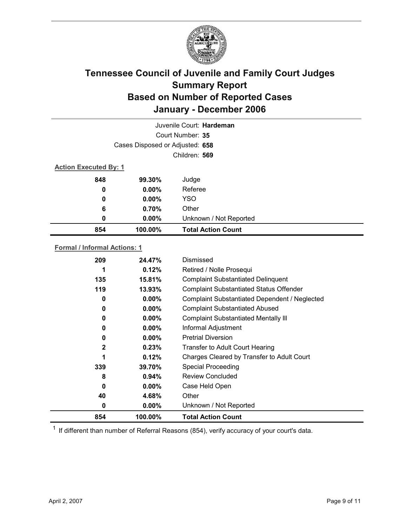

|                  |                                 | Juvenile Court: Hardeman  |  |
|------------------|---------------------------------|---------------------------|--|
|                  |                                 | Court Number: 35          |  |
|                  | Cases Disposed or Adjusted: 658 |                           |  |
|                  |                                 | Children: 569             |  |
|                  | <b>Action Executed By: 1</b>    |                           |  |
| 848              | 99.30%                          | Judge                     |  |
| 0                | $0.00\%$                        | Referee                   |  |
| $\boldsymbol{0}$ | $0.00\%$                        | <b>YSO</b>                |  |
| 6                | 0.70%                           | Other                     |  |
| 0                | $0.00\%$                        | Unknown / Not Reported    |  |
| 854              | 100.00%                         | <b>Total Action Count</b> |  |

### **Formal / Informal Actions: 1**

| 209          | 24.47%   | Dismissed                                      |
|--------------|----------|------------------------------------------------|
|              | 0.12%    | Retired / Nolle Prosequi                       |
| 135          | 15.81%   | <b>Complaint Substantiated Delinquent</b>      |
| 119          | 13.93%   | <b>Complaint Substantiated Status Offender</b> |
| 0            | $0.00\%$ | Complaint Substantiated Dependent / Neglected  |
| 0            | $0.00\%$ | <b>Complaint Substantiated Abused</b>          |
| 0            | $0.00\%$ | <b>Complaint Substantiated Mentally III</b>    |
| 0            | $0.00\%$ | Informal Adjustment                            |
| 0            | $0.00\%$ | <b>Pretrial Diversion</b>                      |
| $\mathbf{2}$ | 0.23%    | <b>Transfer to Adult Court Hearing</b>         |
| 1            | 0.12%    | Charges Cleared by Transfer to Adult Court     |
| 339          | 39.70%   | <b>Special Proceeding</b>                      |
| 8            | $0.94\%$ | <b>Review Concluded</b>                        |
| 0            | $0.00\%$ | Case Held Open                                 |
| 40           | 4.68%    | Other                                          |
| 0            | $0.00\%$ | Unknown / Not Reported                         |
| 854          | 100.00%  | <b>Total Action Count</b>                      |

 $1$  If different than number of Referral Reasons (854), verify accuracy of your court's data.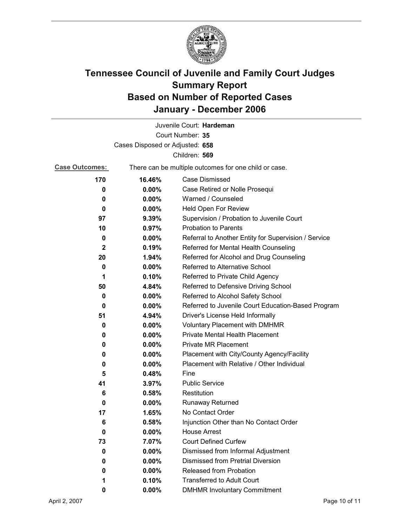

|                                 |                                                       | Juvenile Court: Hardeman                             |  |
|---------------------------------|-------------------------------------------------------|------------------------------------------------------|--|
|                                 |                                                       | Court Number: 35                                     |  |
| Cases Disposed or Adjusted: 658 |                                                       |                                                      |  |
|                                 |                                                       | Children: 569                                        |  |
| <b>Case Outcomes:</b>           | There can be multiple outcomes for one child or case. |                                                      |  |
| 170                             | 16.46%                                                | <b>Case Dismissed</b>                                |  |
| 0                               | $0.00\%$                                              | Case Retired or Nolle Prosequi                       |  |
| 0                               | 0.00%                                                 | Warned / Counseled                                   |  |
| 0                               | 0.00%                                                 | Held Open For Review                                 |  |
| 97                              | 9.39%                                                 | Supervision / Probation to Juvenile Court            |  |
| 10                              | 0.97%                                                 | <b>Probation to Parents</b>                          |  |
| 0                               | $0.00\%$                                              | Referral to Another Entity for Supervision / Service |  |
| $\mathbf{2}$                    | 0.19%                                                 | Referred for Mental Health Counseling                |  |
| 20                              | 1.94%                                                 | Referred for Alcohol and Drug Counseling             |  |
| 0                               | 0.00%                                                 | Referred to Alternative School                       |  |
| 1                               | 0.10%                                                 | Referred to Private Child Agency                     |  |
| 50                              | 4.84%                                                 | Referred to Defensive Driving School                 |  |
| 0                               | $0.00\%$                                              | Referred to Alcohol Safety School                    |  |
| 0                               | $0.00\%$                                              | Referred to Juvenile Court Education-Based Program   |  |
| 51                              | 4.94%                                                 | Driver's License Held Informally                     |  |
| 0                               | $0.00\%$                                              | <b>Voluntary Placement with DMHMR</b>                |  |
| 0                               | $0.00\%$                                              | Private Mental Health Placement                      |  |
| 0                               | $0.00\%$                                              | <b>Private MR Placement</b>                          |  |
| 0                               | $0.00\%$                                              | Placement with City/County Agency/Facility           |  |
| 0                               | $0.00\%$                                              | Placement with Relative / Other Individual           |  |
| 5                               | 0.48%                                                 | Fine                                                 |  |
| 41                              | 3.97%                                                 | <b>Public Service</b>                                |  |
| 6                               | 0.58%                                                 | Restitution                                          |  |
| 0                               | $0.00\%$                                              | <b>Runaway Returned</b>                              |  |
| 17                              | 1.65%                                                 | No Contact Order                                     |  |
| 6                               | 0.58%                                                 | Injunction Other than No Contact Order               |  |
| 0                               | 0.00%                                                 | <b>House Arrest</b>                                  |  |
| 73                              | 7.07%                                                 | <b>Court Defined Curfew</b>                          |  |
| 0                               | 0.00%                                                 | Dismissed from Informal Adjustment                   |  |
| 0                               | $0.00\%$                                              | <b>Dismissed from Pretrial Diversion</b>             |  |
| 0                               | 0.00%                                                 | Released from Probation                              |  |
| 1                               | 0.10%                                                 | <b>Transferred to Adult Court</b>                    |  |
| 0                               | 0.00%                                                 | <b>DMHMR Involuntary Commitment</b>                  |  |